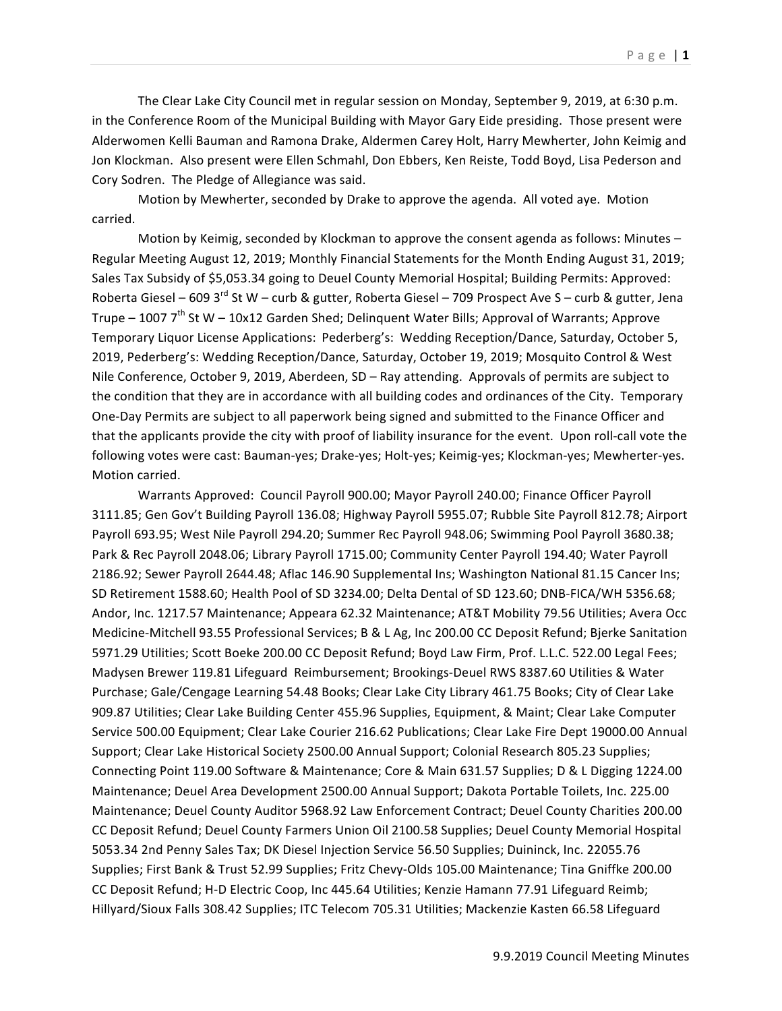The Clear Lake City Council met in regular session on Monday, September 9, 2019, at 6:30 p.m. in the Conference Room of the Municipal Building with Mayor Gary Eide presiding. Those present were Alderwomen Kelli Bauman and Ramona Drake, Aldermen Carey Holt, Harry Mewherter, John Keimig and Jon Klockman. Also present were Ellen Schmahl, Don Ebbers, Ken Reiste, Todd Boyd, Lisa Pederson and Cory Sodren. The Pledge of Allegiance was said.

Motion by Mewherter, seconded by Drake to approve the agenda. All voted aye. Motion carried.

Motion by Keimig, seconded by Klockman to approve the consent agenda as follows: Minutes  $-$ Regular Meeting August 12, 2019; Monthly Financial Statements for the Month Ending August 31, 2019; Sales Tax Subsidy of \$5,053.34 going to Deuel County Memorial Hospital; Building Permits: Approved: Roberta Giesel – 609 3<sup>rd</sup> St W – curb & gutter, Roberta Giesel – 709 Prospect Ave S – curb & gutter, Jena Trupe – 1007  $7^{th}$  St W – 10x12 Garden Shed; Delinquent Water Bills; Approval of Warrants; Approve Temporary Liquor License Applications: Pederberg's: Wedding Reception/Dance, Saturday, October 5, 2019, Pederberg's: Wedding Reception/Dance, Saturday, October 19, 2019; Mosquito Control & West Nile Conference, October 9, 2019, Aberdeen, SD – Ray attending. Approvals of permits are subject to the condition that they are in accordance with all building codes and ordinances of the City. Temporary One-Day Permits are subject to all paperwork being signed and submitted to the Finance Officer and that the applicants provide the city with proof of liability insurance for the event. Upon roll-call vote the following votes were cast: Bauman-yes; Drake-yes; Holt-yes; Keimig-yes; Klockman-yes; Mewherter-yes. Motion carried.

Warrants Approved: Council Payroll 900.00; Mayor Payroll 240.00; Finance Officer Payroll 3111.85; Gen Gov't Building Payroll 136.08; Highway Payroll 5955.07; Rubble Site Payroll 812.78; Airport Payroll 693.95; West Nile Payroll 294.20; Summer Rec Payroll 948.06; Swimming Pool Payroll 3680.38; Park & Rec Payroll 2048.06; Library Payroll 1715.00; Community Center Payroll 194.40; Water Payroll 2186.92; Sewer Payroll 2644.48; Aflac 146.90 Supplemental Ins; Washington National 81.15 Cancer Ins; SD Retirement 1588.60; Health Pool of SD 3234.00; Delta Dental of SD 123.60; DNB-FICA/WH 5356.68; Andor, Inc. 1217.57 Maintenance; Appeara 62.32 Maintenance; AT&T Mobility 79.56 Utilities; Avera Occ Medicine-Mitchell 93.55 Professional Services; B & L Ag, Inc 200.00 CC Deposit Refund; Bjerke Sanitation 5971.29 Utilities; Scott Boeke 200.00 CC Deposit Refund; Boyd Law Firm, Prof. L.L.C. 522.00 Legal Fees; Madysen Brewer 119.81 Lifeguard Reimbursement; Brookings-Deuel RWS 8387.60 Utilities & Water Purchase; Gale/Cengage Learning 54.48 Books; Clear Lake City Library 461.75 Books; City of Clear Lake 909.87 Utilities; Clear Lake Building Center 455.96 Supplies, Equipment, & Maint; Clear Lake Computer Service 500.00 Equipment; Clear Lake Courier 216.62 Publications; Clear Lake Fire Dept 19000.00 Annual Support; Clear Lake Historical Society 2500.00 Annual Support; Colonial Research 805.23 Supplies; Connecting Point 119.00 Software & Maintenance; Core & Main 631.57 Supplies; D & L Digging 1224.00 Maintenance; Deuel Area Development 2500.00 Annual Support; Dakota Portable Toilets, Inc. 225.00 Maintenance; Deuel County Auditor 5968.92 Law Enforcement Contract; Deuel County Charities 200.00 CC Deposit Refund; Deuel County Farmers Union Oil 2100.58 Supplies; Deuel County Memorial Hospital 5053.34 2nd Penny Sales Tax; DK Diesel Injection Service 56.50 Supplies; Duininck, Inc. 22055.76 Supplies; First Bank & Trust 52.99 Supplies; Fritz Chevy-Olds 105.00 Maintenance; Tina Gniffke 200.00 CC Deposit Refund; H-D Electric Coop, Inc 445.64 Utilities; Kenzie Hamann 77.91 Lifeguard Reimb; Hillyard/Sioux Falls 308.42 Supplies; ITC Telecom 705.31 Utilities; Mackenzie Kasten 66.58 Lifeguard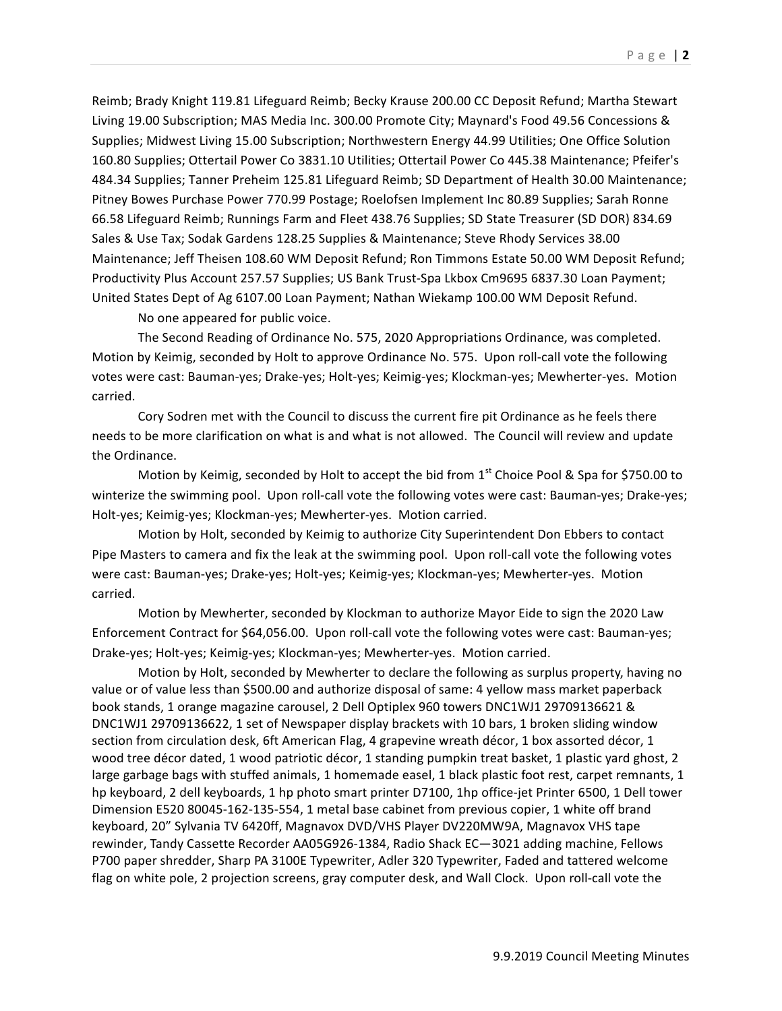Reimb; Brady Knight 119.81 Lifeguard Reimb; Becky Krause 200.00 CC Deposit Refund; Martha Stewart Living 19.00 Subscription; MAS Media Inc. 300.00 Promote City; Maynard's Food 49.56 Concessions & Supplies; Midwest Living 15.00 Subscription; Northwestern Energy 44.99 Utilities; One Office Solution 160.80 Supplies; Ottertail Power Co 3831.10 Utilities; Ottertail Power Co 445.38 Maintenance; Pfeifer's 484.34 Supplies; Tanner Preheim 125.81 Lifeguard Reimb; SD Department of Health 30.00 Maintenance; Pitney Bowes Purchase Power 770.99 Postage; Roelofsen Implement Inc 80.89 Supplies; Sarah Ronne 66.58 Lifeguard Reimb; Runnings Farm and Fleet 438.76 Supplies; SD State Treasurer (SD DOR) 834.69 Sales & Use Tax; Sodak Gardens 128.25 Supplies & Maintenance; Steve Rhody Services 38.00 Maintenance; Jeff Theisen 108.60 WM Deposit Refund; Ron Timmons Estate 50.00 WM Deposit Refund; Productivity Plus Account 257.57 Supplies; US Bank Trust-Spa Lkbox Cm9695 6837.30 Loan Payment; United States Dept of Ag 6107.00 Loan Payment; Nathan Wiekamp 100.00 WM Deposit Refund.

No one appeared for public voice.

The Second Reading of Ordinance No. 575, 2020 Appropriations Ordinance, was completed. Motion by Keimig, seconded by Holt to approve Ordinance No. 575. Upon roll-call vote the following votes were cast: Bauman-yes; Drake-yes; Holt-yes; Keimig-yes; Klockman-yes; Mewherter-yes. Motion carried.

Cory Sodren met with the Council to discuss the current fire pit Ordinance as he feels there needs to be more clarification on what is and what is not allowed. The Council will review and update the Ordinance.

Motion by Keimig, seconded by Holt to accept the bid from  $1<sup>st</sup>$  Choice Pool & Spa for \$750.00 to winterize the swimming pool. Upon roll-call vote the following votes were cast: Bauman-yes; Drake-yes; Holt-yes; Keimig-yes; Klockman-yes; Mewherter-yes. Motion carried.

Motion by Holt, seconded by Keimig to authorize City Superintendent Don Ebbers to contact Pipe Masters to camera and fix the leak at the swimming pool. Upon roll-call vote the following votes were cast: Bauman-yes; Drake-yes; Holt-yes; Keimig-yes; Klockman-yes; Mewherter-yes. Motion carried.

Motion by Mewherter, seconded by Klockman to authorize Mayor Eide to sign the 2020 Law Enforcement Contract for \$64,056.00. Upon roll-call vote the following votes were cast: Bauman-yes; Drake-yes; Holt-yes; Keimig-yes; Klockman-yes; Mewherter-yes. Motion carried.

Motion by Holt, seconded by Mewherter to declare the following as surplus property, having no value or of value less than \$500.00 and authorize disposal of same: 4 yellow mass market paperback book stands, 1 orange magazine carousel, 2 Dell Optiplex 960 towers DNC1WJ1 29709136621 & DNC1WJ1 29709136622, 1 set of Newspaper display brackets with 10 bars, 1 broken sliding window section from circulation desk, 6ft American Flag, 4 grapevine wreath décor, 1 box assorted décor, 1 wood tree décor dated, 1 wood patriotic décor, 1 standing pumpkin treat basket, 1 plastic yard ghost, 2 large garbage bags with stuffed animals, 1 homemade easel, 1 black plastic foot rest, carpet remnants, 1 hp keyboard, 2 dell keyboards, 1 hp photo smart printer D7100, 1hp office-jet Printer 6500, 1 Dell tower Dimension E520 80045-162-135-554, 1 metal base cabinet from previous copier, 1 white off brand keyboard, 20" Sylvania TV 6420ff, Magnavox DVD/VHS Player DV220MW9A, Magnavox VHS tape rewinder, Tandy Cassette Recorder AA05G926-1384, Radio Shack EC-3021 adding machine, Fellows P700 paper shredder, Sharp PA 3100E Typewriter, Adler 320 Typewriter, Faded and tattered welcome flag on white pole, 2 projection screens, gray computer desk, and Wall Clock. Upon roll-call vote the